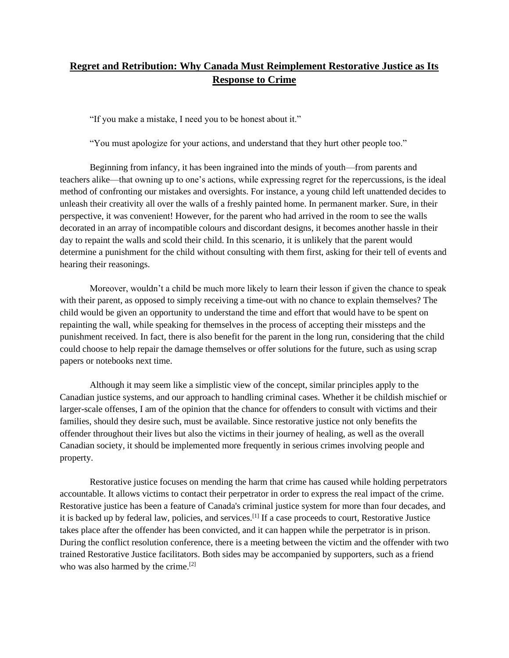## **Regret and Retribution: Why Canada Must Reimplement Restorative Justice as Its Response to Crime**

"If you make a mistake, I need you to be honest about it."

"You must apologize for your actions, and understand that they hurt other people too."

Beginning from infancy, it has been ingrained into the minds of youth—from parents and teachers alike—that owning up to one's actions, while expressing regret for the repercussions, is the ideal method of confronting our mistakes and oversights. For instance, a young child left unattended decides to unleash their creativity all over the walls of a freshly painted home. In permanent marker. Sure, in their perspective, it was convenient! However, for the parent who had arrived in the room to see the walls decorated in an array of incompatible colours and discordant designs, it becomes another hassle in their day to repaint the walls and scold their child. In this scenario, it is unlikely that the parent would determine a punishment for the child without consulting with them first, asking for their tell of events and hearing their reasonings.

Moreover, wouldn't a child be much more likely to learn their lesson if given the chance to speak with their parent, as opposed to simply receiving a time-out with no chance to explain themselves? The child would be given an opportunity to understand the time and effort that would have to be spent on repainting the wall, while speaking for themselves in the process of accepting their missteps and the punishment received. In fact, there is also benefit for the parent in the long run, considering that the child could choose to help repair the damage themselves or offer solutions for the future, such as using scrap papers or notebooks next time.

Although it may seem like a simplistic view of the concept, similar principles apply to the Canadian justice systems, and our approach to handling criminal cases. Whether it be childish mischief or larger-scale offenses, I am of the opinion that the chance for offenders to consult with victims and their families, should they desire such, must be available. Since restorative justice not only benefits the offender throughout their lives but also the victims in their journey of healing, as well as the overall Canadian society, it should be implemented more frequently in serious crimes involving people and property.

Restorative justice focuses on mending the harm that crime has caused while holding perpetrators accountable. It allows victims to contact their perpetrator in order to express the real impact of the crime. Restorative justice has been a feature of Canada's criminal justice system for more than four decades, and it is backed up by federal law, policies, and services.[1] If a case proceeds to court, Restorative Justice takes place after the offender has been convicted, and it can happen while the perpetrator is in prison. During the conflict resolution conference, there is a meeting between the victim and the offender with two trained Restorative Justice facilitators. Both sides may be accompanied by supporters, such as a friend who was also harmed by the crime.<sup>[2]</sup>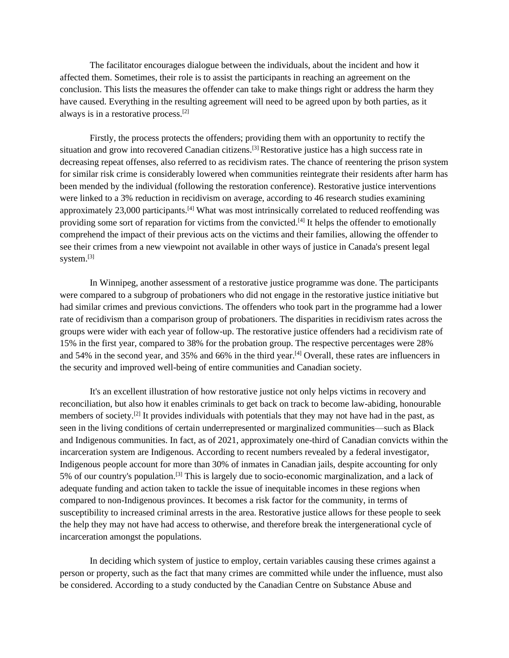The facilitator encourages dialogue between the individuals, about the incident and how it affected them. Sometimes, their role is to assist the participants in reaching an agreement on the conclusion. This lists the measures the offender can take to make things right or address the harm they have caused. Everything in the resulting agreement will need to be agreed upon by both parties, as it always is in a restorative process.[2]

Firstly, the process protects the offenders; providing them with an opportunity to rectify the situation and grow into recovered Canadian citizens.<sup>[3]</sup> Restorative justice has a high success rate in decreasing repeat offenses, also referred to as recidivism rates. The chance of reentering the prison system for similar risk crime is considerably lowered when communities reintegrate their residents after harm has been mended by the individual (following the restoration conference). Restorative justice interventions were linked to a 3% reduction in recidivism on average, according to 46 research studies examining approximately 23,000 participants.<sup>[4]</sup> What was most intrinsically correlated to reduced reoffending was providing some sort of reparation for victims from the convicted.<sup>[4]</sup> It helps the offender to emotionally comprehend the impact of their previous acts on the victims and their families, allowing the offender to see their crimes from a new viewpoint not available in other ways of justice in Canada's present legal system.[3]

In Winnipeg, another assessment of a restorative justice programme was done. The participants were compared to a subgroup of probationers who did not engage in the restorative justice initiative but had similar crimes and previous convictions. The offenders who took part in the programme had a lower rate of recidivism than a comparison group of probationers. The disparities in recidivism rates across the groups were wider with each year of follow-up. The restorative justice offenders had a recidivism rate of 15% in the first year, compared to 38% for the probation group. The respective percentages were 28% and 54% in the second year, and 35% and 66% in the third year.[4] Overall, these rates are influencers in the security and improved well-being of entire communities and Canadian society.

It's an excellent illustration of how restorative justice not only helps victims in recovery and reconciliation, but also how it enables criminals to get back on track to become law-abiding, honourable members of society.[2] It provides individuals with potentials that they may not have had in the past, as seen in the living conditions of certain underrepresented or marginalized communities—such as Black and Indigenous communities. In fact, as of 2021, approximately one-third of Canadian convicts within the incarceration system are Indigenous. According to recent numbers revealed by a federal investigator, Indigenous people account for more than 30% of inmates in Canadian jails, despite accounting for only 5% of our country's population.[3] This is largely due to socio-economic marginalization, and a lack of adequate funding and action taken to tackle the issue of inequitable incomes in these regions when compared to non-Indigenous provinces. It becomes a risk factor for the community, in terms of susceptibility to increased criminal arrests in the area. Restorative justice allows for these people to seek the help they may not have had access to otherwise, and therefore break the intergenerational cycle of incarceration amongst the populations.

In deciding which system of justice to employ, certain variables causing these crimes against a person or property, such as the fact that many crimes are committed while under the influence, must also be considered. According to a study conducted by the Canadian Centre on Substance Abuse and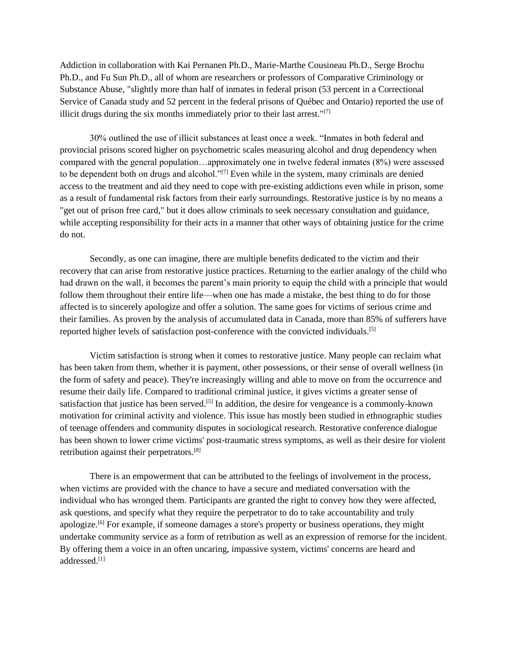Addiction in collaboration with Kai Pernanen Ph.D., Marie-Marthe Cousineau Ph.D., Serge Brochu Ph.D., and Fu Sun Ph.D., all of whom are researchers or professors of Comparative Criminology or Substance Abuse, "slightly more than half of inmates in federal prison (53 percent in a Correctional Service of Canada study and 52 percent in the federal prisons of Québec and Ontario) reported the use of illicit drugs during the six months immediately prior to their last arrest."<sup>[7]</sup>

30% outlined the use of illicit substances at least once a week. "Inmates in both federal and provincial prisons scored higher on psychometric scales measuring alcohol and drug dependency when compared with the general population…approximately one in twelve federal inmates (8%) were assessed to be dependent both on drugs and alcohol." $[7]$  Even while in the system, many criminals are denied access to the treatment and aid they need to cope with pre-existing addictions even while in prison, some as a result of fundamental risk factors from their early surroundings. Restorative justice is by no means a "get out of prison free card," but it does allow criminals to seek necessary consultation and guidance, while accepting responsibility for their acts in a manner that other ways of obtaining justice for the crime do not.

Secondly, as one can imagine, there are multiple benefits dedicated to the victim and their recovery that can arise from restorative justice practices. Returning to the earlier analogy of the child who had drawn on the wall, it becomes the parent's main priority to equip the child with a principle that would follow them throughout their entire life—when one has made a mistake, the best thing to do for those affected is to sincerely apologize and offer a solution. The same goes for victims of serious crime and their families. As proven by the analysis of accumulated data in Canada, more than 85% of sufferers have reported higher levels of satisfaction post-conference with the convicted individuals.[5]

Victim satisfaction is strong when it comes to restorative justice. Many people can reclaim what has been taken from them, whether it is payment, other possessions, or their sense of overall wellness (in the form of safety and peace). They're increasingly willing and able to move on from the occurrence and resume their daily life. Compared to traditional criminal justice, it gives victims a greater sense of satisfaction that justice has been served.<sup>[5]</sup> In addition, the desire for vengeance is a commonly-known motivation for criminal activity and violence. This issue has mostly been studied in ethnographic studies of teenage offenders and community disputes in sociological research. Restorative conference dialogue has been shown to lower crime victims' post-traumatic stress symptoms, as well as their desire for violent retribution against their perpetrators.[8]

There is an empowerment that can be attributed to the feelings of involvement in the process, when victims are provided with the chance to have a secure and mediated conversation with the individual who has wronged them. Participants are granted the right to convey how they were affected, ask questions, and specify what they require the perpetrator to do to take accountability and truly apologize.[6] For example, if someone damages a store's property or business operations, they might undertake community service as a form of retribution as well as an expression of remorse for the incident. By offering them a voice in an often uncaring, impassive system, victims' concerns are heard and addressed.[1]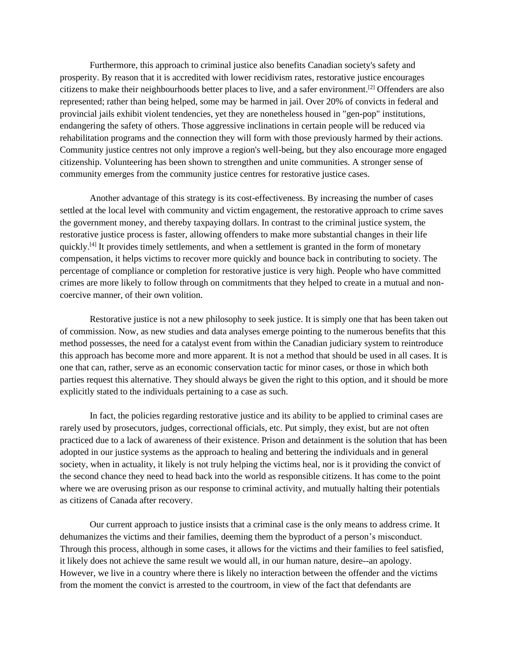Furthermore, this approach to criminal justice also benefits Canadian society's safety and prosperity. By reason that it is accredited with lower recidivism rates, restorative justice encourages citizens to make their neighbourhoods better places to live, and a safer environment.[2] Offenders are also represented; rather than being helped, some may be harmed in jail. Over 20% of convicts in federal and provincial jails exhibit violent tendencies, yet they are nonetheless housed in "gen-pop" institutions, endangering the safety of others. Those aggressive inclinations in certain people will be reduced via rehabilitation programs and the connection they will form with those previously harmed by their actions. Community justice centres not only improve a region's well-being, but they also encourage more engaged citizenship. Volunteering has been shown to strengthen and unite communities. A stronger sense of community emerges from the community justice centres for restorative justice cases.

Another advantage of this strategy is its cost-effectiveness. By increasing the number of cases settled at the local level with community and victim engagement, the restorative approach to crime saves the government money, and thereby taxpaying dollars. In contrast to the criminal justice system, the restorative justice process is faster, allowing offenders to make more substantial changes in their life quickly.<sup>[4]</sup> It provides timely settlements, and when a settlement is granted in the form of monetary compensation, it helps victims to recover more quickly and bounce back in contributing to society. The percentage of compliance or completion for restorative justice is very high. People who have committed crimes are more likely to follow through on commitments that they helped to create in a mutual and noncoercive manner, of their own volition.

Restorative justice is not a new philosophy to seek justice. It is simply one that has been taken out of commission. Now, as new studies and data analyses emerge pointing to the numerous benefits that this method possesses, the need for a catalyst event from within the Canadian judiciary system to reintroduce this approach has become more and more apparent. It is not a method that should be used in all cases. It is one that can, rather, serve as an economic conservation tactic for minor cases, or those in which both parties request this alternative. They should always be given the right to this option, and it should be more explicitly stated to the individuals pertaining to a case as such.

In fact, the policies regarding restorative justice and its ability to be applied to criminal cases are rarely used by prosecutors, judges, correctional officials, etc. Put simply, they exist, but are not often practiced due to a lack of awareness of their existence. Prison and detainment is the solution that has been adopted in our justice systems as the approach to healing and bettering the individuals and in general society, when in actuality, it likely is not truly helping the victims heal, nor is it providing the convict of the second chance they need to head back into the world as responsible citizens. It has come to the point where we are overusing prison as our response to criminal activity, and mutually halting their potentials as citizens of Canada after recovery.

Our current approach to justice insists that a criminal case is the only means to address crime. It dehumanizes the victims and their families, deeming them the byproduct of a person's misconduct. Through this process, although in some cases, it allows for the victims and their families to feel satisfied, it likely does not achieve the same result we would all, in our human nature, desire--an apology. However, we live in a country where there is likely no interaction between the offender and the victims from the moment the convict is arrested to the courtroom, in view of the fact that defendants are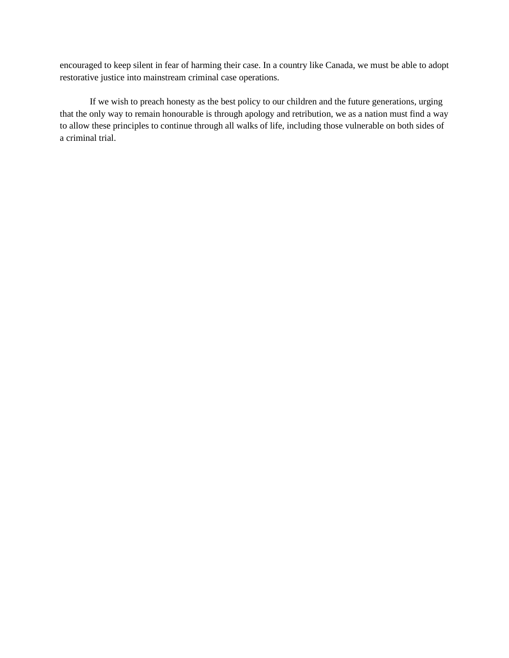encouraged to keep silent in fear of harming their case. In a country like Canada, we must be able to adopt restorative justice into mainstream criminal case operations.

If we wish to preach honesty as the best policy to our children and the future generations, urging that the only way to remain honourable is through apology and retribution, we as a nation must find a way to allow these principles to continue through all walks of life, including those vulnerable on both sides of a criminal trial.